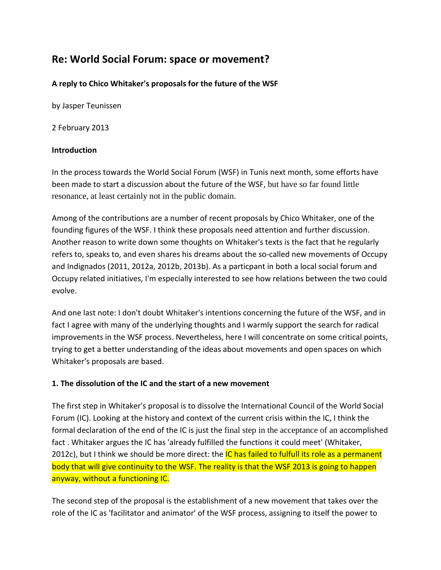# **Re: World Social Forum: space or movement?**

## **A reply to Chico Whitaker's proposals for the future of the WSF**

by Jasper Teunissen

2 February 2013

### **Introduction**

In the process towards the World Social Forum (WSF) in Tunis next month, some efforts have been made to start a discussion about the future of the WSF, but have so far found little resonance, at least certainly not in the public domain.

Among of the contributions are a number of recent proposals by Chico Whitaker, one of the founding figures of the WSF. I think these proposals need attention and further discussion. Another reason to write down some thoughts on Whitaker's texts is the fact that he regularly refers to, speaks to, and even shares his dreams about the so-called new movements of Occupy and Indignados (2011, 2012a, 2012b, 2013b). As a particpant in both a local social forum and Occupy related initiatives, I'm especially interested to see how relations between the two could evolve.

And one last note: I don't doubt Whitaker's intentions concerning the future of the WSF, and in fact I agree with many of the underlying thoughts and I warmly support the search for radical improvements in the WSF process. Nevertheless, here I will concentrate on some critical points, trying to get a better understanding of the ideas about movements and open spaces on which Whitaker's proposals are based.

### **1. The dissolution of the IC and the start of a new movement**

The first step in Whitaker's proposal is to dissolve the International Council of the World Social Forum (IC). Looking at the history and context of the current crisis within the IC, I think the formal declaration of the end of the IC is just the final step in the acceptance of an accomplished fact . Whitaker argues the IC has 'already fulfilled the functions it could meet' (Whitaker, 2012c), but I think we should be more direct: the IC has failed to fulfull its role as a permanent body that will give continuity to the WSF. The reality is that the WSF 2013 is going to happen anyway, without a functioning IC.

The second step of the proposal is the establishment of a new movement that takes over the role of the IC as 'facilitator and animator' of the WSF process, assigning to itself the power to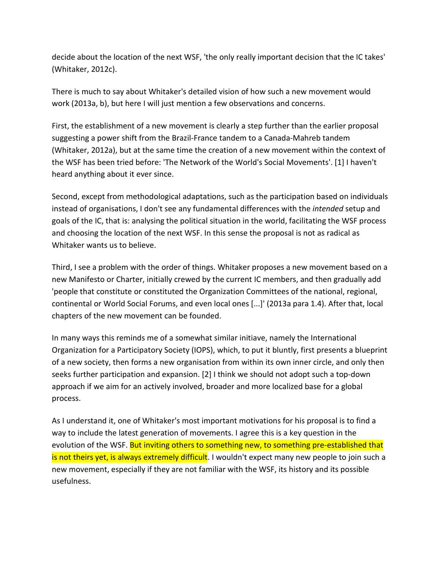decide about the location of the next WSF, 'the only really important decision that the IC takes' (Whitaker, 2012c).

There is much to say about Whitaker's detailed vision of how such a new movement would work (2013a, b), but here I will just mention a few observations and concerns.

First, the establishment of a new movement is clearly a step further than the earlier proposal suggesting a power shift from the Brazil-France tandem to a Canada-Mahreb tandem (Whitaker, 2012a), but at the same time the creation of a new movement within the context of the WSF has been tried before: 'The Network of the World's Social Movements'. [1] I haven't heard anything about it ever since.

Second, except from methodological adaptations, such as the participation based on individuals instead of organisations, I don't see any fundamental differences with the *intended* setup and goals of the IC, that is: analysing the political situation in the world, facilitating the WSF process and choosing the location of the next WSF. In this sense the proposal is not as radical as Whitaker wants us to believe.

Third, I see a problem with the order of things. Whitaker proposes a new movement based on a new Manifesto or Charter, initially crewed by the current IC members, and then gradually add 'people that constitute or constituted the Organization Committees of the national, regional, continental or World Social Forums, and even local ones [...]' (2013a para 1.4). After that, local chapters of the new movement can be founded.

In many ways this reminds me of a somewhat similar initiave, namely the International Organization for a Participatory Society (IOPS), which, to put it bluntly, first presents a blueprint of a new society, then forms a new organisation from within its own inner circle, and only then seeks further participation and expansion. [2] I think we should not adopt such a top-down approach if we aim for an actively involved, broader and more localized base for a global process.

As I understand it, one of Whitaker's most important motivations for his proposal is to find a way to include the latest generation of movements. I agree this is a key question in the evolution of the WSF. But inviting others to something new, to something pre-established that is not theirs yet, is always extremely difficult. I wouldn't expect many new people to join such a new movement, especially if they are not familiar with the WSF, its history and its possible usefulness.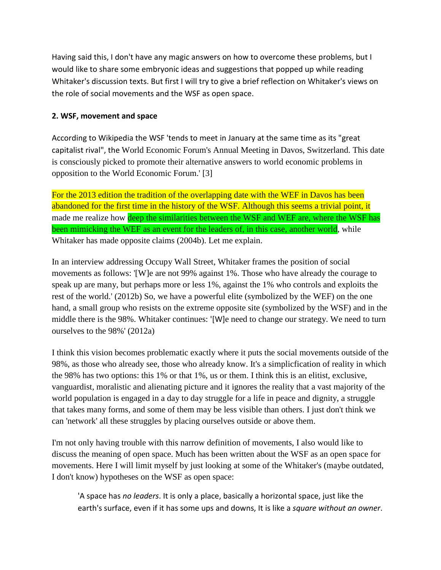Having said this, I don't have any magic answers on how to overcome these problems, but I would like to share some embryonic ideas and suggestions that popped up while reading Whitaker's discussion texts. But first I will try to give a brief reflection on Whitaker's views on the role of social movements and the WSF as open space.

#### **2. WSF, movement and space**

According to Wikipedia the WSF 'tends to meet in January at the same time as its "great capitalist rival", the World Economic Forum's Annual Meeting in Davos, Switzerland. This date is consciously picked to promote their alternative answers to world economic problems in opposition to the World Economic Forum.' [3]

For the 2013 edition the tradition of the overlapping date with the WEF in Davos has been abandoned for the first time in the history of the WSF. Although this seems a trivial point, it made me realize how deep the similarities between the WSF and WEF are, where the WSF has been mimicking the WEF as an event for the leaders of, in this case, another world, while Whitaker has made opposite claims (2004b). Let me explain.

In an interview addressing Occupy Wall Street, Whitaker frames the position of social movements as follows: '[W]e are not 99% against 1%. Those who have already the courage to speak up are many, but perhaps more or less 1%, against the 1% who controls and exploits the rest of the world.' (2012b) So, we have a powerful elite (symbolized by the WEF) on the one hand, a small group who resists on the extreme opposite site (symbolized by the WSF) and in the middle there is the 98%. Whitaker continues: '[W]e need to change our strategy. We need to turn ourselves to the 98%' (2012a)

I think this vision becomes problematic exactly where it puts the social movements outside of the 98%, as those who already see, those who already know. It's a simplicfication of reality in which the 98% has two options: this 1% or that 1%, us or them. I think this is an elitist, exclusive, vanguardist, moralistic and alienating picture and it ignores the reality that a vast majority of the world population is engaged in a day to day struggle for a life in peace and dignity, a struggle that takes many forms, and some of them may be less visible than others. I just don't think we can 'network' all these struggles by placing ourselves outside or above them.

I'm not only having trouble with this narrow definition of movements, I also would like to discuss the meaning of open space. Much has been written about the WSF as an open space for movements. Here I will limit myself by just looking at some of the Whitaker's (maybe outdated, I don't know) hypotheses on the WSF as open space:

'A space has *no leaders*. It is only a place, basically a horizontal space, just like the earth's surface, even if it has some ups and downs, It is like a *square without an owner*.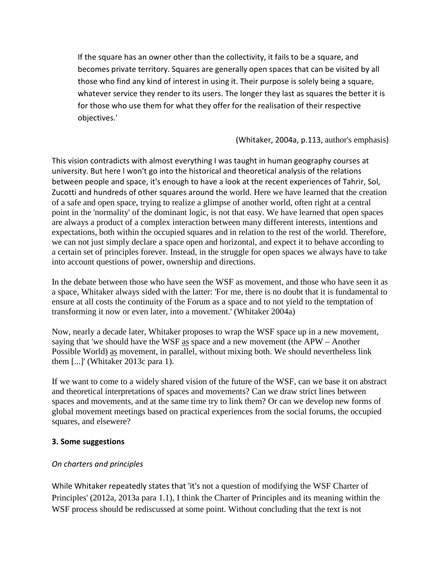If the square has an owner other than the collectivity, it fails to be a square, and becomes private territory. Squares are generally open spaces that can be visited by all those who find any kind of interest in using it. Their purpose is solely being a square, whatever service they render to its users. The longer they last as squares the better it is for those who use them for what they offer for the realisation of their respective objectives.'

(Whitaker, 2004a, p.113, author's emphasis)

This vision contradicts with almost everything I was taught in human geography courses at university. But here I won't go into the historical and theoretical analysis of the relations between people and space, it's enough to have a look at the recent experiences of Tahrir, Sol, Zucotti and hundreds of other squares around the world. Here we have learned that the creation of a safe and open space, trying to realize a glimpse of another world, often right at a central point in the 'normality' of the dominant logic, is not that easy. We have learned that open spaces are always a product of a complex interaction between many different interests, intentions and expectations, both within the occupied squares and in relation to the rest of the world. Therefore, we can not just simply declare a space open and horizontal, and expect it to behave according to a certain set of principles forever. Instead, in the struggle for open spaces we always have to take into account questions of power, ownership and directions.

In the debate between those who have seen the WSF as movement, and those who have seen it as a space, Whitaker always sided with the latter: 'For me, there is no doubt that it is fundamental to ensure at all costs the continuity of the Forum as a space and to not yield to the temptation of transforming it now or even later, into a movement.' (Whitaker 2004a)

Now, nearly a decade later, Whitaker proposes to wrap the WSF space up in a new movement, saying that 'we should have the WSF as space and a new movement (the APW – Another Possible World) as movement, in parallel, without mixing both. We should nevertheless link them [...]' (Whitaker 2013c para 1).

If we want to come to a widely shared vision of the future of the WSF, can we base it on abstract and theoretical interpretations of spaces and movements? Can we draw strict lines between spaces and movements, and at the same time try to link them? Or can we develop new forms of global movement meetings based on practical experiences from the social forums, the occupied squares, and elsewere?

### **3. Some suggestions**

### *On charters and principles*

While Whitaker repeatedly states that 'it's not a question of modifying the WSF Charter of Principles' (2012a, 2013a para 1.1), I think the Charter of Principles and its meaning within the WSF process should be rediscussed at some point. Without concluding that the text is not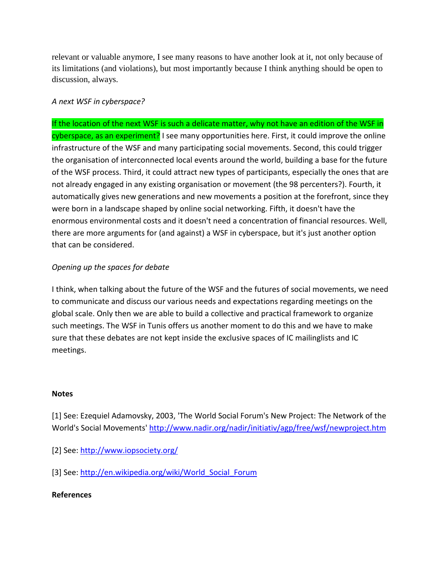relevant or valuable anymore, I see many reasons to have another look at it, not only because of its limitations (and violations), but most importantly because I think anything should be open to discussion, always.

## *A next WSF in cyberspace?*

If the location of the next WSF is such a delicate matter, why not have an edition of the WSF in cyberspace, as an experiment? I see many opportunities here. First, it could improve the online infrastructure of the WSF and many participating social movements. Second, this could trigger the organisation of interconnected local events around the world, building a base for the future of the WSF process. Third, it could attract new types of participants, especially the ones that are not already engaged in any existing organisation or movement (the 98 percenters?). Fourth, it automatically gives new generations and new movements a position at the forefront, since they were born in a landscape shaped by online social networking. Fifth, it doesn't have the enormous environmental costs and it doesn't need a concentration of financial resources. Well, there are more arguments for (and against) a WSF in cyberspace, but it's just another option that can be considered.

## *Opening up the spaces for debate*

I think, when talking about the future of the WSF and the futures of social movements, we need to communicate and discuss our various needs and expectations regarding meetings on the global scale. Only then we are able to build a collective and practical framework to organize such meetings. The WSF in Tunis offers us another moment to do this and we have to make sure that these debates are not kept inside the exclusive spaces of IC mailinglists and IC meetings.

### **Notes**

[1] See: Ezequiel Adamovsky, 2003, 'The World Social Forum's New Project: The Network of the World's Social Movements'<http://www.nadir.org/nadir/initiativ/agp/free/wsf/newproject.htm>

- [2] See:<http://www.iopsociety.org/>
- [3] See: [http://en.wikipedia.org/wiki/World\\_Social\\_Forum](http://en.wikipedia.org/wiki/World_Social_Forum)

### **References**